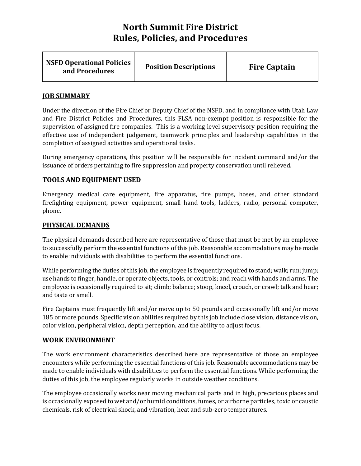| <b>NSFD Operational Policies</b><br>and Procedures | <b>Position Descriptions</b> | <b>Fire Captain</b> |
|----------------------------------------------------|------------------------------|---------------------|
|----------------------------------------------------|------------------------------|---------------------|

### **JOB SUMMARY**

Under the direction of the Fire Chief or Deputy Chief of the NSFD, and in compliance with Utah Law and Fire District Policies and Procedures, this FLSA non-exempt position is responsible for the supervision of assigned fire companies. This is a working level supervisory position requiring the effective use of independent judgement, teamwork principles and leadership capabilities in the completion of assigned activities and operational tasks.

During emergency operations, this position will be responsible for incident command and/or the issuance of orders pertaining to fire suppression and property conservation until relieved.

#### **TOOLS AND EQUIPMENT USED**

Emergency medical care equipment, fire apparatus, fire pumps, hoses, and other standard firefighting equipment, power equipment, small hand tools, ladders, radio, personal computer, phone.

## **PHYSICAL DEMANDS**

The physical demands described here are representative of those that must be met by an employee to successfully perform the essential functions of this job. Reasonable accommodations may be made to enable individuals with disabilities to perform the essential functions.

While performing the duties of this job, the employee is frequently required to stand; walk; run; jump; use hands to finger, handle, or operate objects, tools, or controls; and reach with hands and arms. The employee is occasionally required to sit; climb; balance; stoop, kneel, crouch, or crawl; talk and hear; and taste or smell.

Fire Captains must frequently lift and/or move up to 50 pounds and occasionally lift and/or move 185 or more pounds. Specific vision abilities required by this job include close vision, distance vision, color vision, peripheral vision, depth perception, and the ability to adjust focus.

#### **WORK ENVIRONMENT**

The work environment characteristics described here are representative of those an employee encounters while performing the essential functions of this job. Reasonable accommodations may be made to enable individuals with disabilities to perform the essential functions. While performing the duties of this job, the employee regularly works in outside weather conditions.

The employee occasionally works near moving mechanical parts and in high, precarious places and is occasionally exposed to wet and/or humid conditions, fumes, or airborne particles, toxic or caustic chemicals, risk of electrical shock, and vibration, heat and sub-zero temperatures.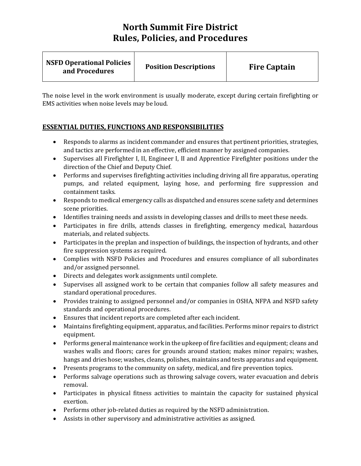| <b>NSFD Operational Policies</b><br><b>Position Descriptions</b><br>and Procedures | <b>Fire Captain</b> |
|------------------------------------------------------------------------------------|---------------------|
|------------------------------------------------------------------------------------|---------------------|

The noise level in the work environment is usually moderate, except during certain firefighting or EMS activities when noise levels may be loud.

## **ESSENTIAL DUTIES, FUNCTIONS AND RESPONSIBILITIES**

- Responds to alarms as incident commander and ensures that pertinent priorities, strategies, and tactics are performed in an effective, efficient manner by assigned companies.
- Supervises all Firefighter I, II, Engineer I, II and Apprentice Firefighter positions under the direction of the Chief and Deputy Chief.
- Performs and supervises firefighting activities including driving all fire apparatus, operating pumps, and related equipment, laying hose, and performing fire suppression and containment tasks.
- Responds to medical emergency calls as dispatched and ensures scene safety and determines scene priorities.
- Identifies training needs and assists in developing classes and drills to meet these needs.
- Participates in fire drills, attends classes in firefighting, emergency medical, hazardous materials, and related subjects.
- Participates in the preplan and inspection of buildings, the inspection of hydrants, and other fire suppression systems as required.
- Complies with NSFD Policies and Procedures and ensures compliance of all subordinates and/or assigned personnel.
- Directs and delegates work assignments until complete.
- Supervises all assigned work to be certain that companies follow all safety measures and standard operational procedures.
- Provides training to assigned personnel and/or companies in OSHA, NFPA and NSFD safety standards and operational procedures.
- Ensures that incident reports are completed after each incident.
- Maintains firefighting equipment, apparatus, and facilities. Performs minor repairs to district equipment.
- Performs general maintenance work in the upkeep of fire facilities and equipment; cleans and washes walls and floors; cares for grounds around station; makes minor repairs; washes, hangs and dries hose; washes, cleans, polishes, maintains and tests apparatus and equipment.
- Presents programs to the community on safety, medical, and fire prevention topics.
- Performs salvage operations such as throwing salvage covers, water evacuation and debris removal.
- Participates in physical fitness activities to maintain the capacity for sustained physical exertion.
- Performs other job-related duties as required by the NSFD administration.
- Assists in other supervisory and administrative activities as assigned.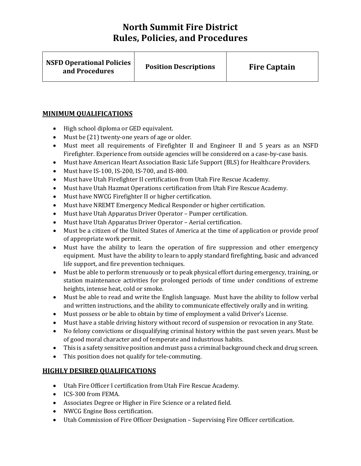| <b>NSFD Operational Policies</b><br>and Procedures | <b>Position Descriptions</b> | <b>Fire Captain</b> |
|----------------------------------------------------|------------------------------|---------------------|
|----------------------------------------------------|------------------------------|---------------------|

## **MINIMUM QUALIFICATIONS**

- High school diploma or GED equivalent.
- Must be (21) twenty-one years of age or older.
- Must meet all requirements of Firefighter II and Engineer II and 5 years as an NSFD Firefighter. Experience from outside agencies will be considered on a case-by-case basis.
- Must have American Heart Association Basic Life Support (BLS) for Healthcare Providers.
- Must have IS-100, IS-200, IS-700, and IS-800.
- Must have Utah Firefighter II certification from Utah Fire Rescue Academy.
- Must have Utah Hazmat Operations certification from Utah Fire Rescue Academy.
- Must have NWCG Firefighter II or higher certification.
- Must have NREMT Emergency Medical Responder or higher certification.
- Must have Utah Apparatus Driver Operator Pumper certification.
- Must have Utah Apparatus Driver Operator Aerial certification.
- Must be a citizen of the United States of America at the time of application or provide proof of appropriate work permit.
- Must have the ability to learn the operation of fire suppression and other emergency equipment. Must have the ability to learn to apply standard firefighting, basic and advanced life support, and fire prevention techniques.
- Must be able to perform strenuously or to peak physical effort during emergency, training, or station maintenance activities for prolonged periods of time under conditions of extreme heights, intense heat, cold or smoke.
- Must be able to read and write the English language. Must have the ability to follow verbal and written instructions, and the ability to communicate effectively orally and in writing.
- Must possess or be able to obtain by time of employment a valid Driver's License.
- Must have a stable driving history without record of suspension or revocation in any State.
- No felony convictions or disqualifying criminal history within the past seven years. Must be of good moral character and of temperate and industrious habits.
- This is a safety sensitive position and must pass a criminal background check and drug screen.
- This position does not qualify for tele-commuting.

## **HIGHLY DESIRED QUALIFICATIONS**

- Utah Fire Officer I certification from Utah Fire Rescue Academy.
- ICS-300 from FEMA.
- Associates Degree or Higher in Fire Science or a related field.
- NWCG Engine Boss certification.
- Utah Commission of Fire Officer Designation Supervising Fire Officer certification.